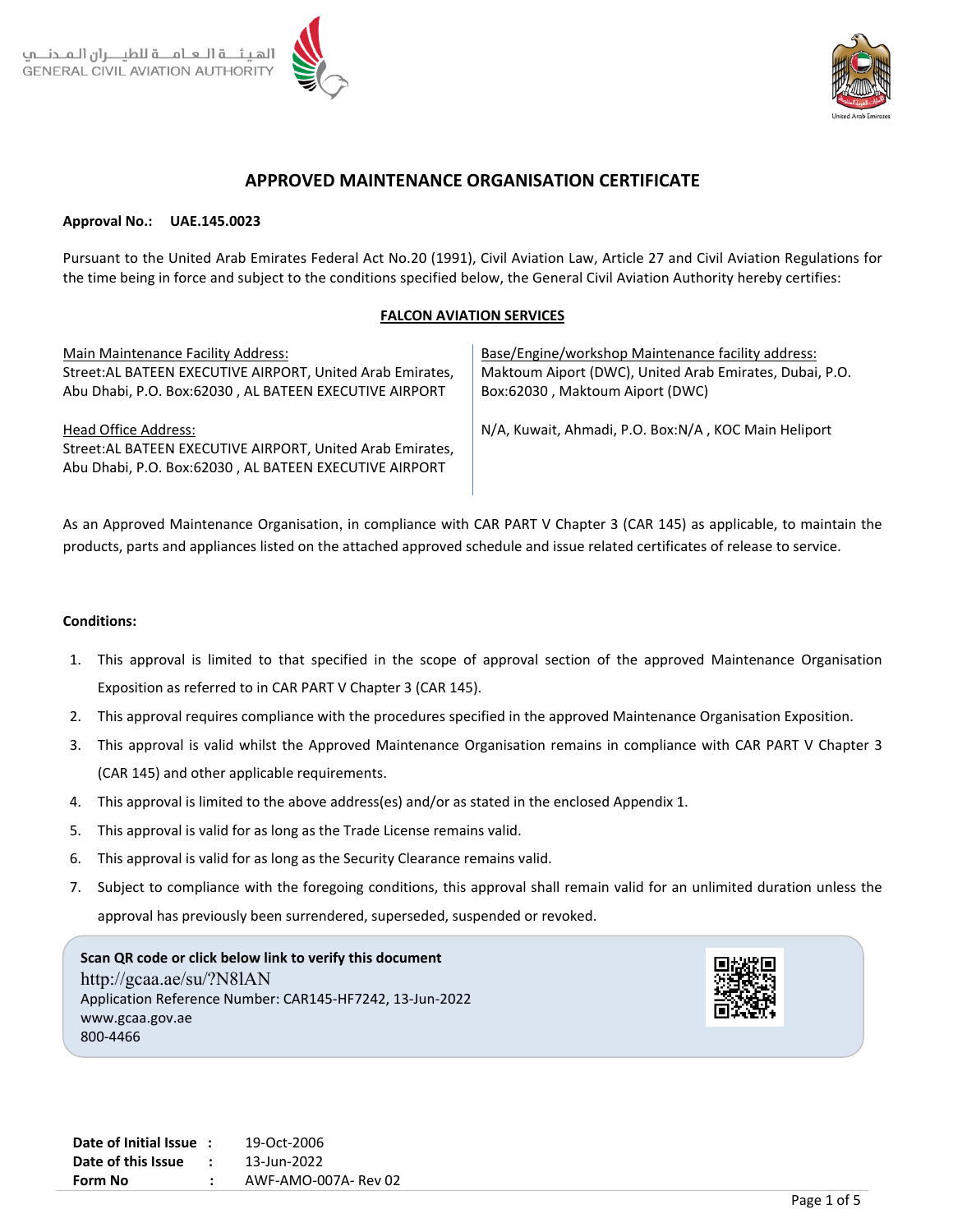

# **APPROVED MAINTENANCE ORGANISATION CERTIFICATE**

#### **Approval No.: UAE.145.0023**

Pursuant to the United Arab Emirates Federal Act No.20 (1991), Civil Aviation Law, Article 27 and Civil Aviation Regulations for the time being in force and subject to the conditions specified below, the General Civil Aviation Authority hereby certifies:

#### **FALCON AVIATION SERVICES**

Main Maintenance Facility Address: Street:AL BATEEN EXECUTIVE AIRPORT, United Arab Emirates, Abu Dhabi, P.O. Box:62030 , AL BATEEN EXECUTIVE AIRPORT

Head Office Address: Street:AL BATEEN EXECUTIVE AIRPORT, United Arab Emirates, Abu Dhabi, P.O. Box:62030 , AL BATEEN EXECUTIVE AIRPORT

Base/Engine/workshop Maintenance facility address: Maktoum Aiport (DWC), United Arab Emirates, Dubai, P.O. Box:62030 , Maktoum Aiport (DWC)

N/A, Kuwait, Ahmadi, P.O. Box:N/A , KOC Main Heliport

As an Approved Maintenance Organisation, in compliance with CAR PART V Chapter 3 (CAR 145) as applicable, to maintain the products, parts and appliances listed on the attached approved schedule and issue related certificates of release to service.

#### **Conditions:**

- 1. This approval is limited to that specified in the scope of approval section of the approved Maintenance Organisation Exposition as referred to in CAR PART V Chapter 3 (CAR 145).
- 2. This approval requires compliance with the procedures specified in the approved Maintenance Organisation Exposition.
- 3. This approval is valid whilst the Approved Maintenance Organisation remains in compliance with CAR PART V Chapter 3 (CAR 145) and other applicable requirements.
- 4. This approval is limited to the above address(es) and/or as stated in the enclosed Appendix 1.
- 5. This approval is valid for as long as the Trade License remains valid.
- 6. This approval is valid for as long as the Security Clearance remains valid.
- 7. Subject to compliance with the foregoing conditions, this approval shall remain valid for an unlimited duration unless the approval has previously been surrendered, superseded, suspended or revoked.

**Scan QR code or click below link to verify this document** http://gcaa.ae/su/?N8lAN Application Reference Number: CAR145-HF7242, 13-Jun-2022 www.gcaa.gov.ae 800-4466

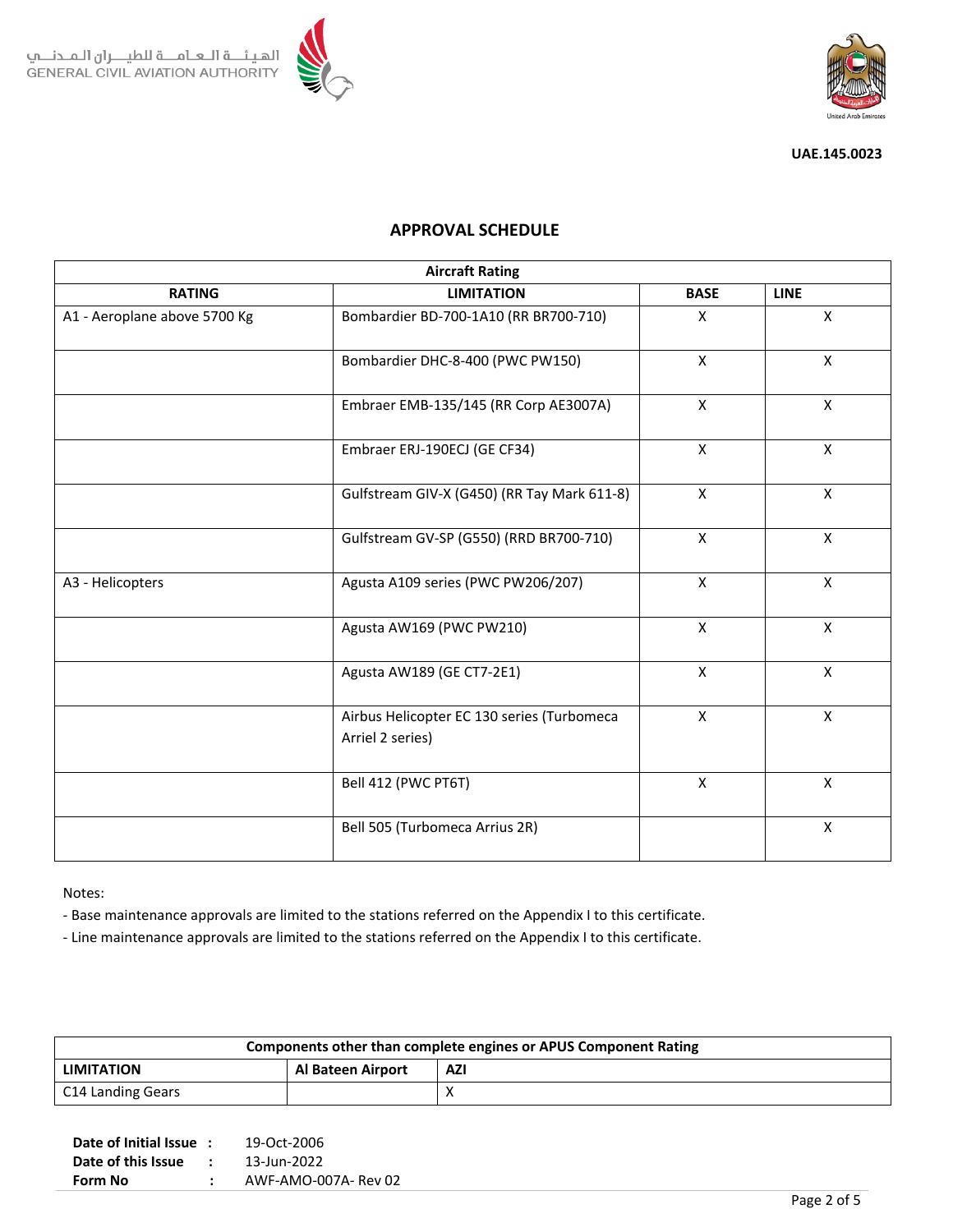



# **APPROVAL SCHEDULE**

| <b>Aircraft Rating</b>       |                                                                |              |              |  |  |  |  |  |  |
|------------------------------|----------------------------------------------------------------|--------------|--------------|--|--|--|--|--|--|
| <b>RATING</b>                | <b>LIMITATION</b>                                              | <b>BASE</b>  | <b>LINE</b>  |  |  |  |  |  |  |
| A1 - Aeroplane above 5700 Kg | Bombardier BD-700-1A10 (RR BR700-710)                          | $\mathsf{x}$ | X            |  |  |  |  |  |  |
|                              | Bombardier DHC-8-400 (PWC PW150)                               | $\mathsf{X}$ | $\mathsf{X}$ |  |  |  |  |  |  |
|                              | Embraer EMB-135/145 (RR Corp AE3007A)                          | X            | X            |  |  |  |  |  |  |
|                              | Embraer ERJ-190ECJ (GE CF34)                                   | $\mathsf{X}$ | $\mathsf{X}$ |  |  |  |  |  |  |
|                              | Gulfstream GIV-X (G450) (RR Tay Mark 611-8)                    | X            | X            |  |  |  |  |  |  |
|                              | Gulfstream GV-SP (G550) (RRD BR700-710)                        | $\mathsf{X}$ | $\mathsf{X}$ |  |  |  |  |  |  |
| A3 - Helicopters             | Agusta A109 series (PWC PW206/207)                             | $\mathsf{X}$ | $\mathsf{X}$ |  |  |  |  |  |  |
|                              | Agusta AW169 (PWC PW210)                                       | $\mathsf{X}$ | $\mathsf{X}$ |  |  |  |  |  |  |
|                              | Agusta AW189 (GE CT7-2E1)                                      | $\mathsf{X}$ | $\mathsf{X}$ |  |  |  |  |  |  |
|                              | Airbus Helicopter EC 130 series (Turbomeca<br>Arriel 2 series) | X            | $\mathsf{X}$ |  |  |  |  |  |  |
|                              | Bell 412 (PWC PT6T)                                            | $\mathsf{x}$ | $\mathsf{x}$ |  |  |  |  |  |  |
|                              | Bell 505 (Turbomeca Arrius 2R)                                 |              | X            |  |  |  |  |  |  |

Notes:

- Base maintenance approvals are limited to the stations referred on the Appendix I to this certificate.

- Line maintenance approvals are limited to the stations referred on the Appendix I to this certificate.

| Components other than complete engines or APUS Component Rating |                   |            |  |  |  |  |  |  |
|-----------------------------------------------------------------|-------------------|------------|--|--|--|--|--|--|
| <b>LIMITATION</b>                                               | Al Bateen Airport | <b>AZI</b> |  |  |  |  |  |  |
| C14 Landing Gears                                               |                   |            |  |  |  |  |  |  |

| Date of this Issue | $\cdot$ | 13-Jun-2022          |
|--------------------|---------|----------------------|
| Form No            |         | AWF-AMO-007A- Rev 02 |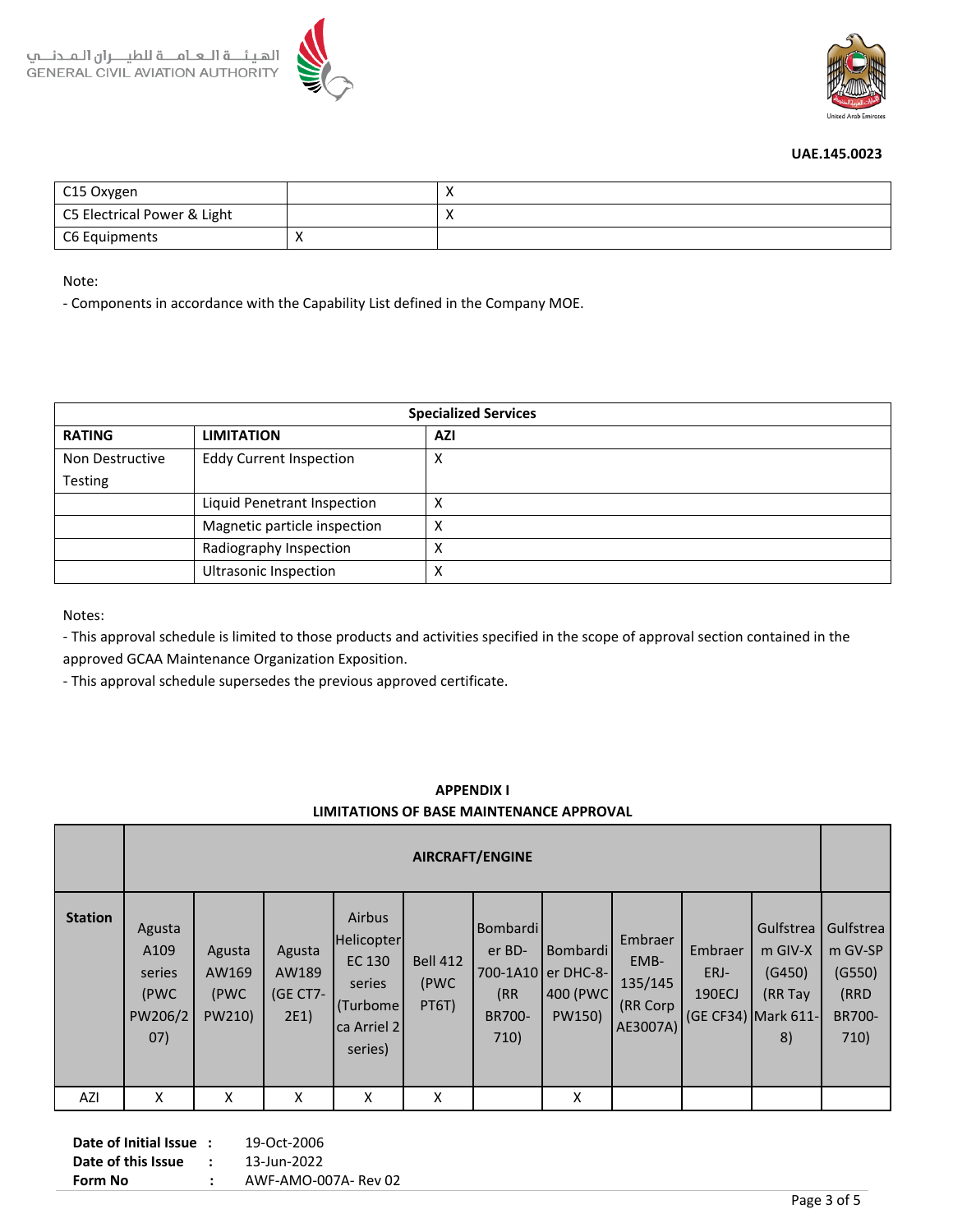



| C15 Oxygen                  |  |
|-----------------------------|--|
| C5 Electrical Power & Light |  |
| C6 Equipments               |  |

Note:

- Components in accordance with the Capability List defined in the Company MOE.

| <b>Specialized Services</b> |                                |            |  |  |  |  |  |  |
|-----------------------------|--------------------------------|------------|--|--|--|--|--|--|
| <b>RATING</b>               | <b>LIMITATION</b>              | <b>AZI</b> |  |  |  |  |  |  |
| Non Destructive             | <b>Eddy Current Inspection</b> | X          |  |  |  |  |  |  |
| <b>Testing</b>              |                                |            |  |  |  |  |  |  |
|                             | Liquid Penetrant Inspection    | х          |  |  |  |  |  |  |
|                             | Magnetic particle inspection   | х          |  |  |  |  |  |  |
|                             | Radiography Inspection         | Χ          |  |  |  |  |  |  |
|                             | <b>Ultrasonic Inspection</b>   | X          |  |  |  |  |  |  |

Notes:

- This approval schedule is limited to those products and activities specified in the scope of approval section contained in the approved GCAA Maintenance Organization Exposition.

- This approval schedule supersedes the previous approved certificate.

## **APPENDIX I LIMITATIONS OF BASE MAINTENANCE APPROVAL**

|                | <b>AIRCRAFT/ENGINE</b>                              |                                   |                                     |                                                                                 |                                  |                                             |                                                          |                                                    |                           |                                                                          |                                                                 |  |
|----------------|-----------------------------------------------------|-----------------------------------|-------------------------------------|---------------------------------------------------------------------------------|----------------------------------|---------------------------------------------|----------------------------------------------------------|----------------------------------------------------|---------------------------|--------------------------------------------------------------------------|-----------------------------------------------------------------|--|
| <b>Station</b> | Agusta<br>A109<br>series<br>(PWC<br>PW206/2<br>(07) | Agusta<br>AW169<br>(PWC<br>PW210) | Agusta<br>AW189<br>(GE CT7-<br>2E1) | Airbus<br>Helicopter<br>EC 130<br>series<br>(Turbome)<br>ca Arriel 2<br>series) | <b>Bell 412</b><br>(PWC<br>PT6T) | Bombardi<br>er BD-<br>(RR<br>BR700-<br>710) | l Bombardi l<br>700-1A10 er DHC-8-<br>400 (PWC<br>PW150) | Embraer<br>EMB-<br>135/145<br>(RR Corp<br>AE3007A) | Embraer<br>ERJ-<br>190ECJ | Gulfstrea<br>$m$ GIV-X<br>(G450)<br>(RR Tay<br>(GE CF34) Mark 611-<br>8) | Gulfstrea<br>m GV-SP<br>(G550)<br>(RRD<br><b>BR700-</b><br>710) |  |
| AZI            | X                                                   | X                                 | X                                   | X                                                                               | X                                |                                             | X                                                        |                                                    |                           |                                                                          |                                                                 |  |

| Date of Initial Issue: |               | 19-Oct-2006          |
|------------------------|---------------|----------------------|
| Date of this Issue     | $\mathcal{L}$ | 13-Jun-2022          |
| Form No                |               | AWF-AMO-007A- Rev 02 |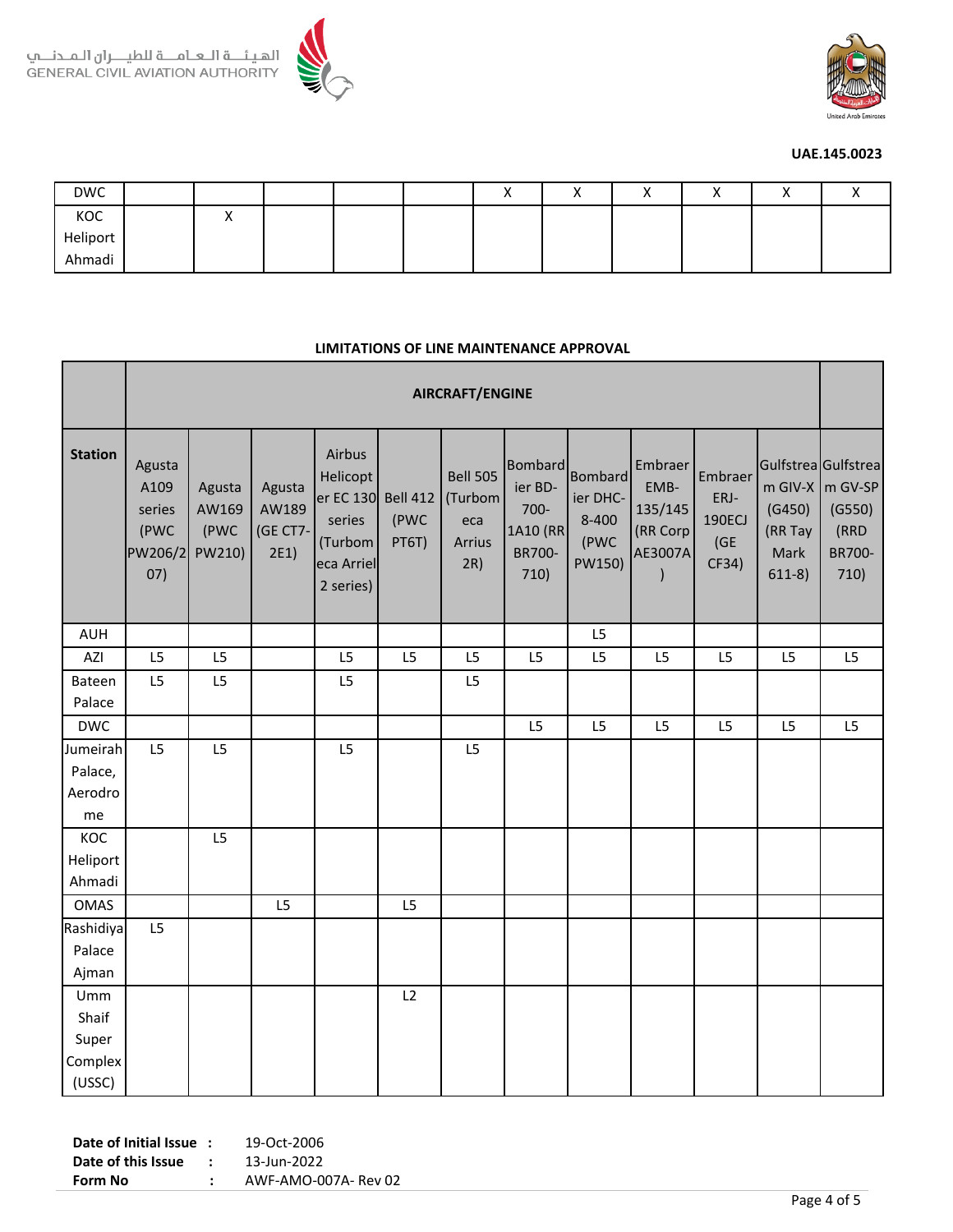



| <b>DWC</b> |          |  | $\lambda$ |  |  |  |
|------------|----------|--|-----------|--|--|--|
| KOC        | $\cdots$ |  |           |  |  |  |
| Heliport   |          |  |           |  |  |  |
| Ahmadi     |          |  |           |  |  |  |

#### **LIMITATIONS OF LINE MAINTENANCE APPROVAL**

|                                            | <b>AIRCRAFT/ENGINE</b>                             |                                   |                                     |                                                                                 |                                  |                                                    |                                                                        |                                                           |                                                   |                                            |                                       |                                                                                    |
|--------------------------------------------|----------------------------------------------------|-----------------------------------|-------------------------------------|---------------------------------------------------------------------------------|----------------------------------|----------------------------------------------------|------------------------------------------------------------------------|-----------------------------------------------------------|---------------------------------------------------|--------------------------------------------|---------------------------------------|------------------------------------------------------------------------------------|
| <b>Station</b>                             | Agusta<br>A109<br>series<br>(PWC<br>PW206/2<br>07) | Agusta<br>AW169<br>(PWC<br>PW210) | Agusta<br>AW189<br>(GE CT7-<br>2E1) | Airbus<br>Helicopt<br>er EC 130<br>series<br>(Turbom<br>eca Arriel<br>2 series) | <b>Bell 412</b><br>(PWC<br>PT6T) | <b>Bell 505</b><br>(Turbom<br>eca<br>Arrius<br>2R) | <b>Bombard</b><br>ier BD-<br>700-<br>1A10 (RR<br><b>BR700-</b><br>710) | <b>Bombard</b><br>ier DHC-<br>$8 - 400$<br>(PWC<br>PW150) | Embraer<br>EMB-<br>135/145<br>(RR Corp<br>AE3007A | Embraer<br>ERJ-<br>190ECJ<br>(GE)<br>CF34) | (G450)<br>(RR Tay<br>Mark<br>$611-8)$ | Gulfstrea Gulfstrea<br>m GIV-X $\vert$ m GV-SP<br>(G550)<br>(RRD<br>BR700-<br>710) |
| <b>AUH</b>                                 |                                                    |                                   |                                     |                                                                                 |                                  |                                                    |                                                                        | L5                                                        |                                                   |                                            |                                       |                                                                                    |
| AZI                                        | L5                                                 | L5                                |                                     | L5                                                                              | L5                               | L5                                                 | L5                                                                     | L5                                                        | L5                                                | L5                                         | L5                                    | L5                                                                                 |
| Bateen<br>Palace                           | L5                                                 | L5                                |                                     | L5                                                                              |                                  | L5                                                 |                                                                        |                                                           |                                                   |                                            |                                       |                                                                                    |
| <b>DWC</b>                                 |                                                    |                                   |                                     |                                                                                 |                                  |                                                    | L5                                                                     | L5                                                        | L5                                                | L5                                         | L5                                    | L5                                                                                 |
| Jumeirah<br>Palace,<br>Aerodro<br>me       | L5                                                 | L5                                |                                     | L5                                                                              |                                  | L5                                                 |                                                                        |                                                           |                                                   |                                            |                                       |                                                                                    |
| KOC<br>Heliport<br>Ahmadi                  |                                                    | L5                                |                                     |                                                                                 |                                  |                                                    |                                                                        |                                                           |                                                   |                                            |                                       |                                                                                    |
| <b>OMAS</b>                                |                                                    |                                   | L5                                  |                                                                                 | L5                               |                                                    |                                                                        |                                                           |                                                   |                                            |                                       |                                                                                    |
| Rashidiya<br>Palace<br>Ajman               | L5                                                 |                                   |                                     |                                                                                 |                                  |                                                    |                                                                        |                                                           |                                                   |                                            |                                       |                                                                                    |
| Umm<br>Shaif<br>Super<br>Complex<br>(USSC) |                                                    |                                   |                                     |                                                                                 | L2                               |                                                    |                                                                        |                                                           |                                                   |                                            |                                       |                                                                                    |

**Date of Initial Issue :** 19-Oct-2006 **Date of this Issue :** 13-Jun-2022 **Form No :** AWF-AMO-007A- Rev 02